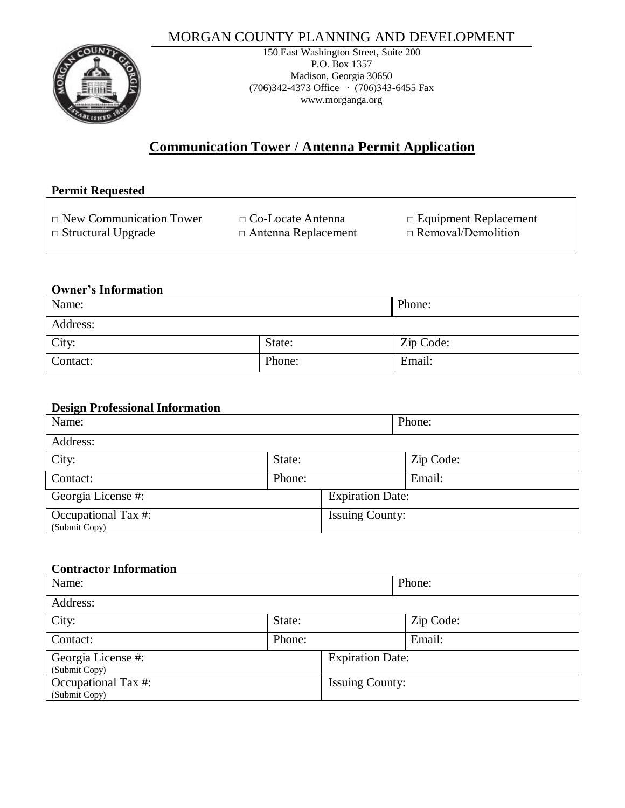# MORGAN COUNTY PLANNING AND DEVELOPMENT



150 East Washington Street, Suite 200 P.O. Box 1357 Madison, Georgia 30650 (706)342-4373 Office ∙ (706)343-6455 Fax www.morganga.org

# **Communication Tower** / **Antenna Permit Application**

| <b>Permit Requested</b>        |                            |                              |  |  |
|--------------------------------|----------------------------|------------------------------|--|--|
| $\Box$ New Communication Tower | $\Box$ Co-Locate Antenna   | $\Box$ Equipment Replacement |  |  |
| $\Box$ Structural Upgrade      | $\Box$ Antenna Replacement | $\Box$ Removal/Demolition    |  |  |

### **Owner's Information**

| Name:    |        | Phone:    |
|----------|--------|-----------|
| Address: |        |           |
| City:    | State: | Zip Code: |
| Contact: | Phone: | Email:    |

## **Design Professional Information**

| Name:                                |        | Phone:                  |           |
|--------------------------------------|--------|-------------------------|-----------|
| Address:                             |        |                         |           |
| City:                                | State: |                         | Zip Code: |
| Contact:                             | Phone: |                         | Email:    |
| Georgia License #:                   |        | <b>Expiration Date:</b> |           |
| Occupational Tax #:<br>(Submit Copy) |        | <b>Issuing County:</b>  |           |

# **Contractor Information**

| Name:                                |        |                         | Phone:    |
|--------------------------------------|--------|-------------------------|-----------|
| Address:                             |        |                         |           |
| City:                                | State: |                         | Zip Code: |
| Contact:                             | Phone: |                         | Email:    |
| Georgia License #:<br>(Submit Copy)  |        | <b>Expiration Date:</b> |           |
| Occupational Tax #:<br>(Submit Copy) |        | <b>Issuing County:</b>  |           |